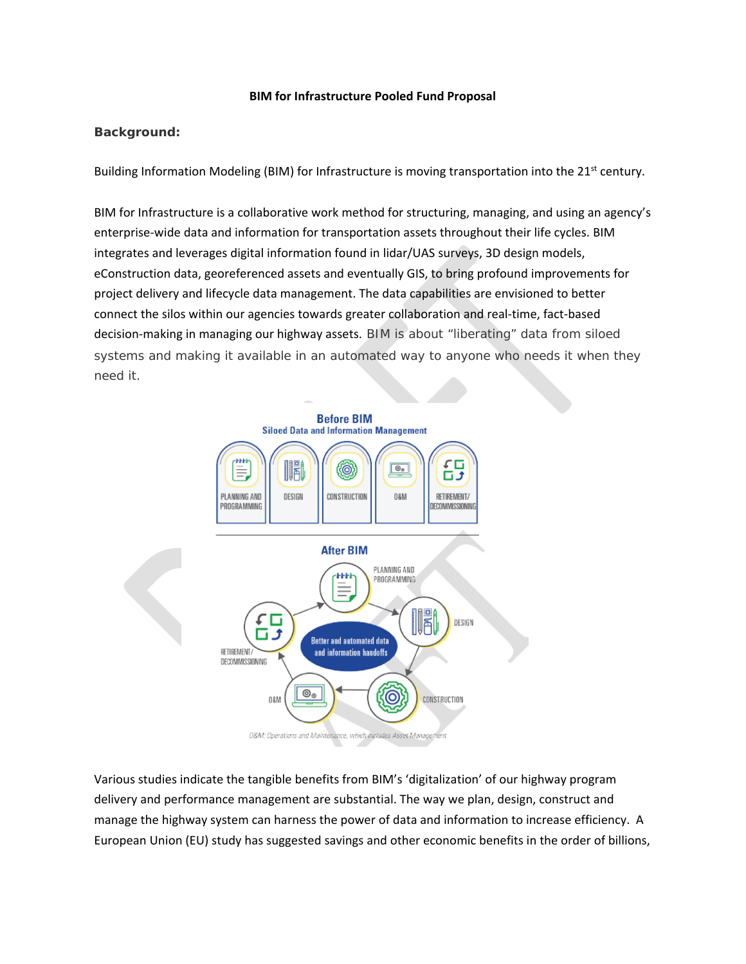## **BIM for Infrastructure Pooled Fund Proposal**

## **Background:**

Building Information Modeling (BIM) for Infrastructure is moving transportation into the 21<sup>st</sup> century.

BIM for Infrastructure is a collaborative work method for structuring, managing, and using an agency's enterprise‐wide data and information for transportation assets throughout their life cycles. BIM integrates and leverages digital information found in lidar/UAS surveys, 3D design models, eConstruction data, georeferenced assets and eventually GIS, to bring profound improvements for project delivery and lifecycle data management. The data capabilities are envisioned to better connect the silos within our agencies towards greater collaboration and real‐time, fact‐based decision-making in managing our highway assets. BIM is about "liberating" data from siloed systems and making it available in an automated way to anyone who needs it when they need it.



Various studies indicate the tangible benefits from BIM's 'digitalization' of our highway program delivery and performance management are substantial. The way we plan, design, construct and manage the highway system can harness the power of data and information to increase efficiency. A European Union (EU) study has suggested savings and other economic benefits in the order of billions,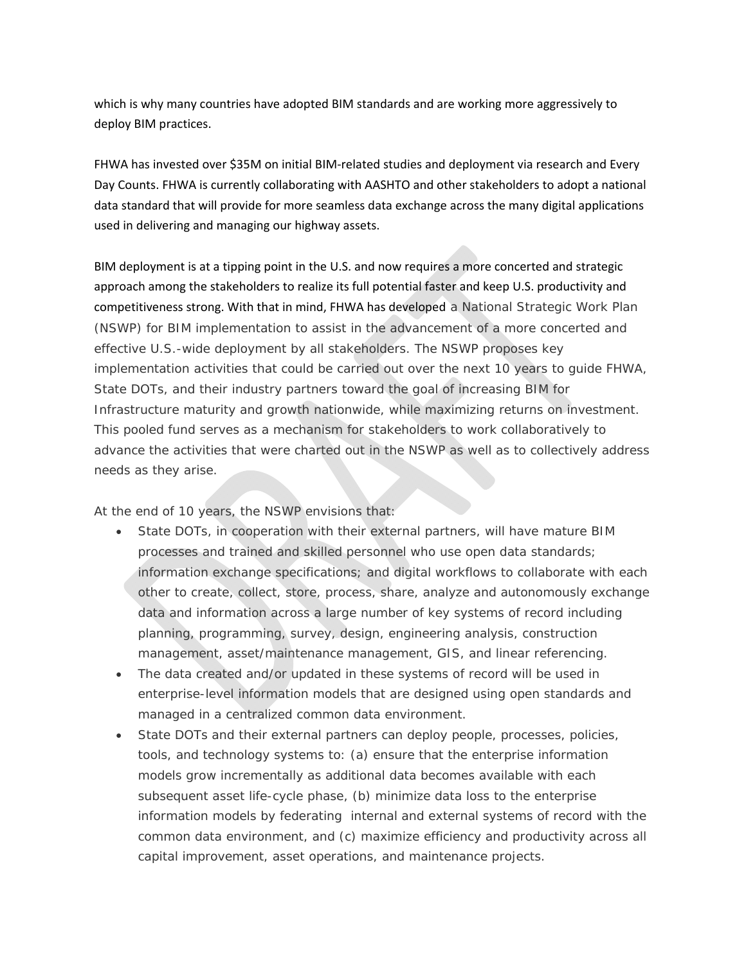which is why many countries have adopted BIM standards and are working more aggressively to deploy BIM practices.

FHWA has invested over \$35M on initial BIM‐related studies and deployment via research and Every Day Counts. FHWA is currently collaborating with AASHTO and other stakeholders to adopt a national data standard that will provide for more seamless data exchange across the many digital applications used in delivering and managing our highway assets.

BIM deployment is at a tipping point in the U.S. and now requires a more concerted and strategic approach among the stakeholders to realize its full potential faster and keep U.S. productivity and competitiveness strong. With that in mind, FHWA has developed a National Strategic Work Plan (NSWP) for BIM implementation to assist in the advancement of a more concerted and effective U.S.-wide deployment by all stakeholders. The NSWP proposes key implementation activities that could be carried out over the next 10 years to guide FHWA, State DOTs, and their industry partners toward the goal of increasing BIM for Infrastructure maturity and growth nationwide, while maximizing returns on investment. This pooled fund serves as a mechanism for stakeholders to work collaboratively to advance the activities that were charted out in the NSWP as well as to collectively address needs as they arise.

At the end of 10 years, the NSWP envisions that:

- State DOTs, in cooperation with their external partners, will have mature BIM processes and trained and skilled personnel who use open data standards; information exchange specifications; and digital workflows to collaborate with each other to create, collect, store, process, share, analyze and autonomously exchange data and information across a large number of key systems of record including planning, programming, survey, design, engineering analysis, construction management, asset/maintenance management, GIS, and linear referencing.
- The data created and/or updated in these systems of record will be used in enterprise-level information models that are designed using open standards and managed in a centralized common data environment.
- State DOTs and their external partners can deploy people, processes, policies, tools, and technology systems to: (a) ensure that the enterprise information models grow incrementally as additional data becomes available with each subsequent asset life-cycle phase, (b) minimize data loss to the enterprise information models by federating internal and external systems of record with the common data environment, and (c) maximize efficiency and productivity across all capital improvement, asset operations, and maintenance projects.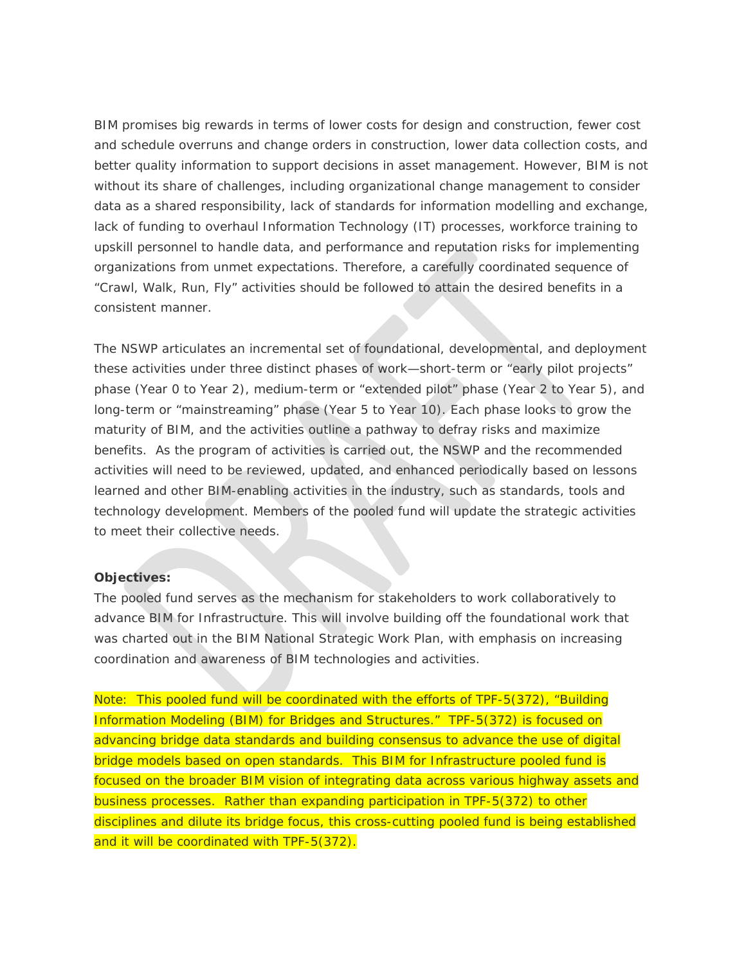BIM promises big rewards in terms of lower costs for design and construction, fewer cost and schedule overruns and change orders in construction, lower data collection costs, and better quality information to support decisions in asset management. However, BIM is not without its share of challenges, including organizational change management to consider data as a shared responsibility, lack of standards for information modelling and exchange, lack of funding to overhaul Information Technology (IT) processes, workforce training to upskill personnel to handle data, and performance and reputation risks for implementing organizations from unmet expectations. Therefore, a carefully coordinated sequence of "Crawl, Walk, Run, Fly" activities should be followed to attain the desired benefits in a consistent manner.

The NSWP articulates an incremental set of foundational, developmental, and deployment these activities under three distinct phases of work—short-term or "early pilot projects" phase (Year 0 to Year 2), medium-term or "extended pilot" phase (Year 2 to Year 5), and long-term or "mainstreaming" phase (Year 5 to Year 10). Each phase looks to grow the maturity of BIM, and the activities outline a pathway to defray risks and maximize benefits. As the program of activities is carried out, the NSWP and the recommended activities will need to be reviewed, updated, and enhanced periodically based on lessons learned and other BIM-enabling activities in the industry, such as standards, tools and technology development. Members of the pooled fund will update the strategic activities to meet their collective needs.

## **Objectives:**

The pooled fund serves as the mechanism for stakeholders to work collaboratively to advance BIM for Infrastructure. This will involve building off the foundational work that was charted out in the BIM National Strategic Work Plan, with emphasis on increasing coordination and awareness of BIM technologies and activities.

Note: This pooled fund will be coordinated with the efforts of TPF-5(372), "Building Information Modeling (BIM) for Bridges and Structures." TPF-5(372) is focused on advancing bridge data standards and building consensus to advance the use of digital bridge models based on open standards. This BIM for Infrastructure pooled fund is focused on the broader BIM vision of integrating data across various highway assets and business processes. Rather than expanding participation in TPF-5(372) to other disciplines and dilute its bridge focus, this cross-cutting pooled fund is being established and it will be coordinated with TPF-5(372).